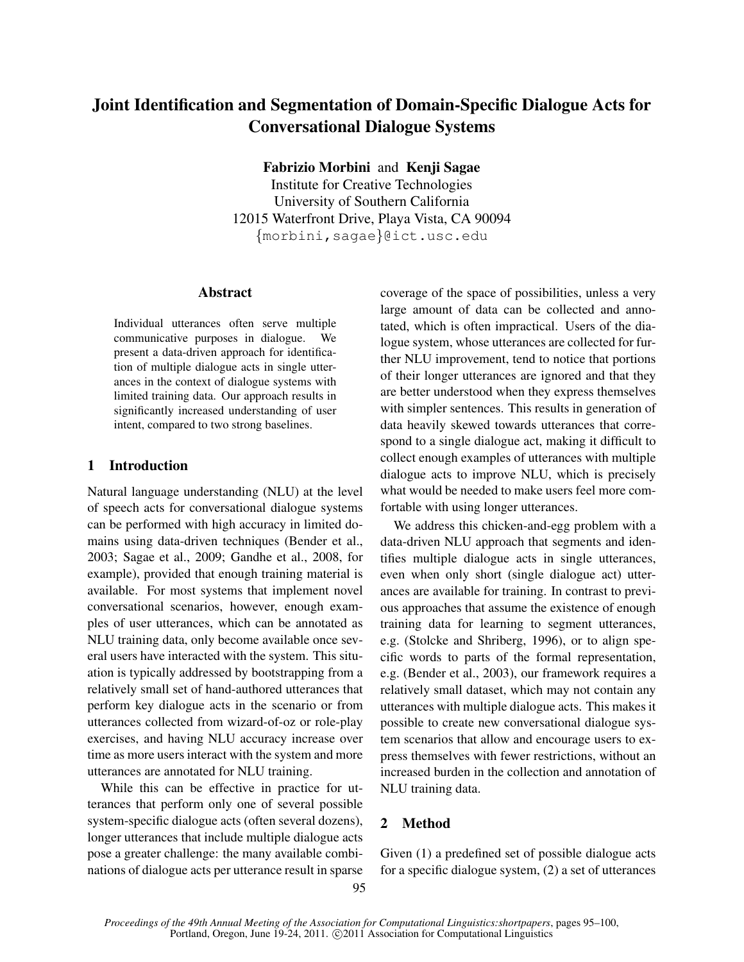# Joint Identification and Segmentation of Domain-Specific Dialogue Acts for Conversational Dialogue Systems

Fabrizio Morbini and Kenji Sagae

Institute for Creative Technologies University of Southern California 12015 Waterfront Drive, Playa Vista, CA 90094 {morbini,sagae}@ict.usc.edu

# Abstract

Individual utterances often serve multiple communicative purposes in dialogue. We present a data-driven approach for identification of multiple dialogue acts in single utterances in the context of dialogue systems with limited training data. Our approach results in significantly increased understanding of user intent, compared to two strong baselines.

# 1 Introduction

Natural language understanding (NLU) at the level of speech acts for conversational dialogue systems can be performed with high accuracy in limited domains using data-driven techniques (Bender et al., 2003; Sagae et al., 2009; Gandhe et al., 2008, for example), provided that enough training material is available. For most systems that implement novel conversational scenarios, however, enough examples of user utterances, which can be annotated as NLU training data, only become available once several users have interacted with the system. This situation is typically addressed by bootstrapping from a relatively small set of hand-authored utterances that perform key dialogue acts in the scenario or from utterances collected from wizard-of-oz or role-play exercises, and having NLU accuracy increase over time as more users interact with the system and more utterances are annotated for NLU training.

While this can be effective in practice for utterances that perform only one of several possible system-specific dialogue acts (often several dozens), longer utterances that include multiple dialogue acts pose a greater challenge: the many available combinations of dialogue acts per utterance result in sparse coverage of the space of possibilities, unless a very large amount of data can be collected and annotated, which is often impractical. Users of the dialogue system, whose utterances are collected for further NLU improvement, tend to notice that portions of their longer utterances are ignored and that they are better understood when they express themselves with simpler sentences. This results in generation of data heavily skewed towards utterances that correspond to a single dialogue act, making it difficult to collect enough examples of utterances with multiple dialogue acts to improve NLU, which is precisely what would be needed to make users feel more comfortable with using longer utterances.

We address this chicken-and-egg problem with a data-driven NLU approach that segments and identifies multiple dialogue acts in single utterances, even when only short (single dialogue act) utterances are available for training. In contrast to previous approaches that assume the existence of enough training data for learning to segment utterances, e.g. (Stolcke and Shriberg, 1996), or to align specific words to parts of the formal representation, e.g. (Bender et al., 2003), our framework requires a relatively small dataset, which may not contain any utterances with multiple dialogue acts. This makes it possible to create new conversational dialogue system scenarios that allow and encourage users to express themselves with fewer restrictions, without an increased burden in the collection and annotation of NLU training data.

# 2 Method

Given (1) a predefined set of possible dialogue acts for a specific dialogue system, (2) a set of utterances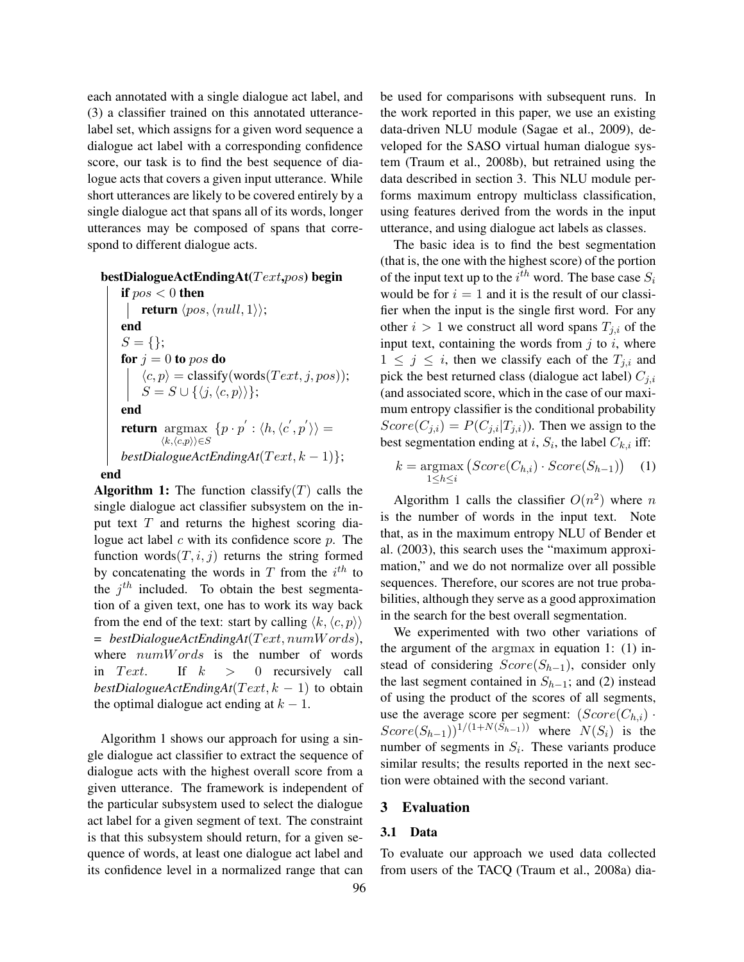each annotated with a single dialogue act label, and (3) a classifier trained on this annotated utterancelabel set, which assigns for a given word sequence a dialogue act label with a corresponding confidence score, our task is to find the best sequence of dialogue acts that covers a given input utterance. While short utterances are likely to be covered entirely by a single dialogue act that spans all of its words, longer utterances may be composed of spans that correspond to different dialogue acts.

#### $bestDialogueActEndingAt(Text, pos) begin$

```
if pos < 0 then
           return \langle pos, \langle null, 1 \rangle \rangle;end
      S = \{\};for j = 0 to pos do
            \langle c, p \rangle = \text{classify}(words(Text, j, pos));S = S \cup \{\langle j, \langle c, p \rangle \rangle\};end
      return argmax
                   \langle k,\langle c,p \rangle \rangle \in S\{p \cdot p^{'} : \langle h, \langle c^{'}, p^{'} \rangle \rangle =bestDialogueActEndingAt(Text, k-1);
end
```
**Algorithm 1:** The function classify  $(T)$  calls the single dialogue act classifier subsystem on the input text  $T$  and returns the highest scoring dialogue act label  $c$  with its confidence score  $p$ . The function words $(T, i, j)$  returns the string formed by concatenating the words in T from the  $i^{th}$  to the  $j<sup>th</sup>$  included. To obtain the best segmentation of a given text, one has to work its way back from the end of the text: start by calling  $\langle k, \langle c, p \rangle \rangle$  $= bestDialogueActEndingAt(Text, numWords),$ where  $numWords$  is the number of words in Text. If  $k > 0$  recursively call  $bestDialogueActEndingAt(Text, k - 1)$  to obtain the optimal dialogue act ending at  $k - 1$ .

Algorithm 1 shows our approach for using a single dialogue act classifier to extract the sequence of dialogue acts with the highest overall score from a given utterance. The framework is independent of the particular subsystem used to select the dialogue act label for a given segment of text. The constraint is that this subsystem should return, for a given sequence of words, at least one dialogue act label and its confidence level in a normalized range that can

be used for comparisons with subsequent runs. In the work reported in this paper, we use an existing data-driven NLU module (Sagae et al., 2009), developed for the SASO virtual human dialogue system (Traum et al., 2008b), but retrained using the data described in section 3. This NLU module performs maximum entropy multiclass classification, using features derived from the words in the input utterance, and using dialogue act labels as classes.

The basic idea is to find the best segmentation (that is, the one with the highest score) of the portion of the input text up to the  $i^{th}$  word. The base case  $S_i$ would be for  $i = 1$  and it is the result of our classifier when the input is the single first word. For any other  $i > 1$  we construct all word spans  $T_{i,i}$  of the input text, containing the words from  $j$  to  $i$ , where  $1 \leq j \leq i$ , then we classify each of the  $T_{j,i}$  and pick the best returned class (dialogue act label)  $C_{j,i}$ (and associated score, which in the case of our maximum entropy classifier is the conditional probability  $Score(C_{j,i}) = P(C_{j,i}|T_{j,i})$ ). Then we assign to the best segmentation ending at *i*,  $S_i$ , the label  $C_{k,i}$  iff:

$$
k = \underset{1 \leq h \leq i}{\operatorname{argmax}} \left( Score(C_{h,i}) \cdot Score(S_{h-1}) \right) \quad (1)
$$

Algorithm 1 calls the classifier  $O(n^2)$  where n is the number of words in the input text. Note that, as in the maximum entropy NLU of Bender et al. (2003), this search uses the "maximum approximation," and we do not normalize over all possible sequences. Therefore, our scores are not true probabilities, although they serve as a good approximation in the search for the best overall segmentation.

We experimented with two other variations of the argument of the argmax in equation 1: (1) instead of considering  $Score(S_{h-1})$ , consider only the last segment contained in  $S_{h-1}$ ; and (2) instead of using the product of the scores of all segments, use the average score per segment:  $(Score(C_{h,i})$ .  $Score(S_{h-1})$ <sup>1/(1+N(S<sub>h-1</sub>))</sup> where  $N(S_i)$  is the number of segments in  $S_i$ . These variants produce similar results; the results reported in the next section were obtained with the second variant.

#### 3 Evaluation

#### 3.1 Data

To evaluate our approach we used data collected from users of the TACQ (Traum et al., 2008a) dia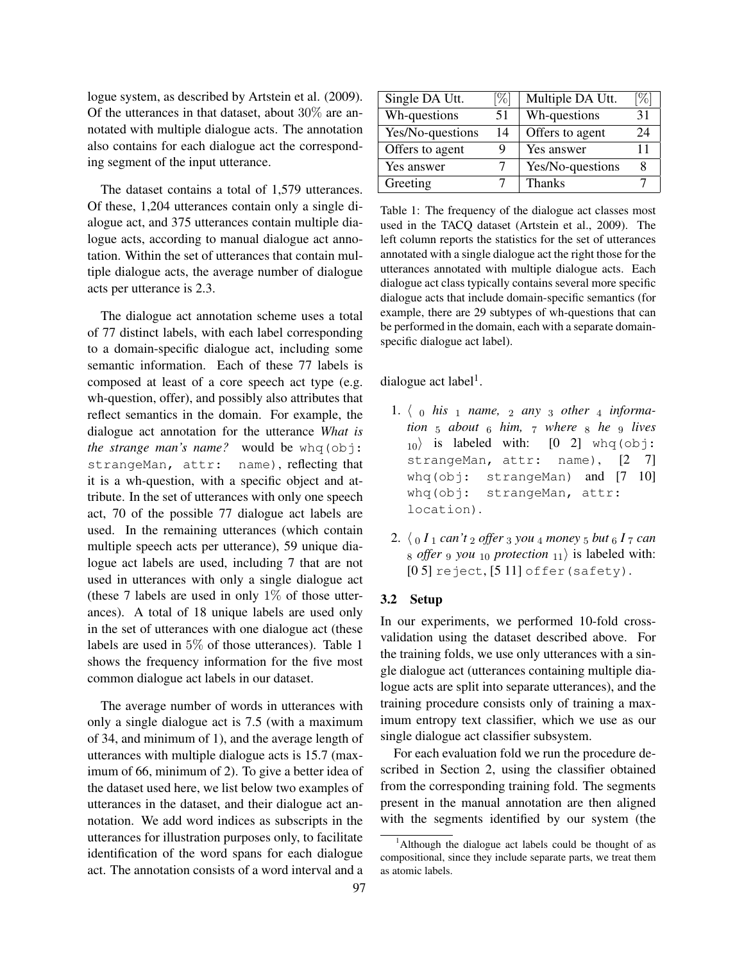logue system, as described by Artstein et al. (2009). Of the utterances in that dataset, about 30% are annotated with multiple dialogue acts. The annotation also contains for each dialogue act the corresponding segment of the input utterance.

The dataset contains a total of 1,579 utterances. Of these, 1,204 utterances contain only a single dialogue act, and 375 utterances contain multiple dialogue acts, according to manual dialogue act annotation. Within the set of utterances that contain multiple dialogue acts, the average number of dialogue acts per utterance is 2.3.

The dialogue act annotation scheme uses a total of 77 distinct labels, with each label corresponding to a domain-specific dialogue act, including some semantic information. Each of these 77 labels is composed at least of a core speech act type (e.g. wh-question, offer), and possibly also attributes that reflect semantics in the domain. For example, the dialogue act annotation for the utterance *What is the strange man's name?* would be whq(obj: strangeMan, attr: name), reflecting that it is a wh-question, with a specific object and attribute. In the set of utterances with only one speech act, 70 of the possible 77 dialogue act labels are used. In the remaining utterances (which contain multiple speech acts per utterance), 59 unique dialogue act labels are used, including 7 that are not used in utterances with only a single dialogue act (these 7 labels are used in only  $1\%$  of those utterances). A total of 18 unique labels are used only in the set of utterances with one dialogue act (these labels are used in 5% of those utterances). Table 1 shows the frequency information for the five most common dialogue act labels in our dataset.

The average number of words in utterances with only a single dialogue act is 7.5 (with a maximum of 34, and minimum of 1), and the average length of utterances with multiple dialogue acts is 15.7 (maximum of 66, minimum of 2). To give a better idea of the dataset used here, we list below two examples of utterances in the dataset, and their dialogue act annotation. We add word indices as subscripts in the utterances for illustration purposes only, to facilitate identification of the word spans for each dialogue act. The annotation consists of a word interval and a

| Single DA Utt.   | [%] | Multiple DA Utt. | %  |
|------------------|-----|------------------|----|
| Wh-questions     | 51  | Wh-questions     | 31 |
| Yes/No-questions | 14  | Offers to agent  | 24 |
| Offers to agent  | Q   | Yes answer       | 11 |
| Yes answer       |     | Yes/No-questions | 8  |
| Greeting         |     | <b>Thanks</b>    |    |

Table 1: The frequency of the dialogue act classes most used in the TACQ dataset (Artstein et al., 2009). The left column reports the statistics for the set of utterances annotated with a single dialogue act the right those for the utterances annotated with multiple dialogue acts. Each dialogue act class typically contains several more specific dialogue acts that include domain-specific semantics (for example, there are 29 subtypes of wh-questions that can be performed in the domain, each with a separate domainspecific dialogue act label).

dialogue act label<sup>1</sup>.

- 1.  $\langle \begin{array}{ccc} 0 & his \end{array} \rangle$  *name*,  $\langle \begin{array}{ccc} 2 & any \end{array} \rangle$  *a other*  $\langle \begin{array}{ccc} 4 & hforma-1 \end{array} \rangle$ *tion* <sup>5</sup> *about* <sup>6</sup> *him,* <sup>7</sup> *where* <sup>8</sup> *he* <sup>9</sup> *lives*  $|10\rangle$  is labeled with:  $[0 2]$  whq(obj: strangeMan, attr: name), [2 7] whq(obj: strangeMan) and [7 10] whq(obj: strangeMan, attr: location).
- 2.  $\langle 0 I_1 \text{ can } t_2 \text{ offer } 3 \text{ you } 4 \text{ money } 5 \text{ but } 6 I_7 \text{ can}$  $8$  *offer* 9 *you*  $10$  *protection*  $11$  is labeled with:  $[0 5]$  reject,  $[5 11]$  offer (safety).

## 3.2 Setup

In our experiments, we performed 10-fold crossvalidation using the dataset described above. For the training folds, we use only utterances with a single dialogue act (utterances containing multiple dialogue acts are split into separate utterances), and the training procedure consists only of training a maximum entropy text classifier, which we use as our single dialogue act classifier subsystem.

For each evaluation fold we run the procedure described in Section 2, using the classifier obtained from the corresponding training fold. The segments present in the manual annotation are then aligned with the segments identified by our system (the

<sup>&</sup>lt;sup>1</sup>Although the dialogue act labels could be thought of as compositional, since they include separate parts, we treat them as atomic labels.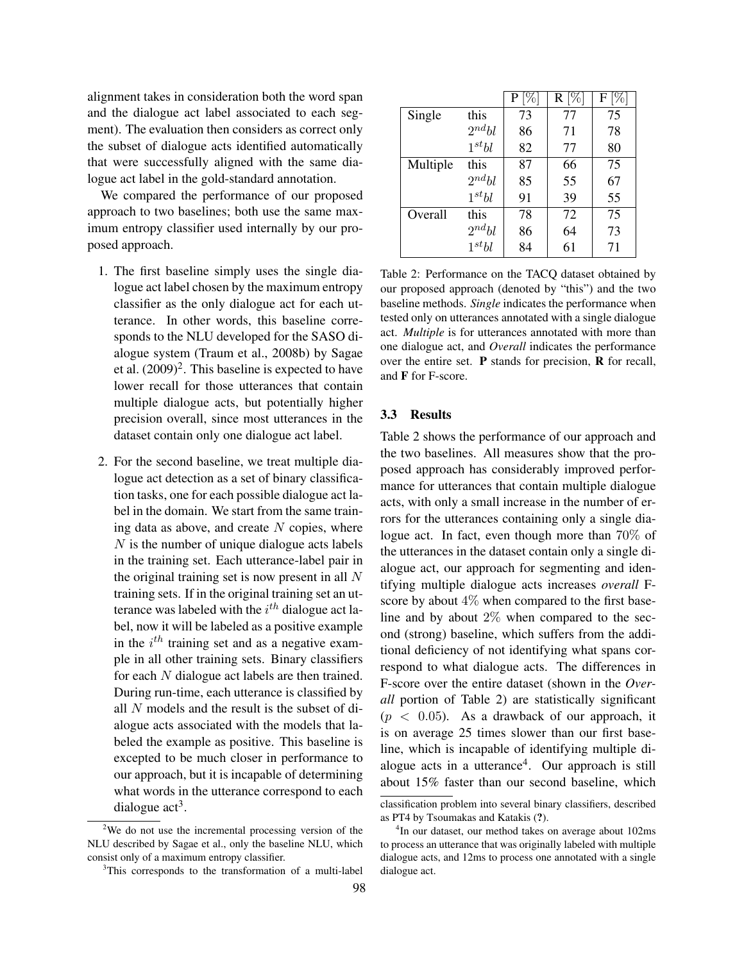alignment takes in consideration both the word span and the dialogue act label associated to each segment). The evaluation then considers as correct only the subset of dialogue acts identified automatically that were successfully aligned with the same dialogue act label in the gold-standard annotation.

We compared the performance of our proposed approach to two baselines; both use the same maximum entropy classifier used internally by our proposed approach.

- 1. The first baseline simply uses the single dialogue act label chosen by the maximum entropy classifier as the only dialogue act for each utterance. In other words, this baseline corresponds to the NLU developed for the SASO dialogue system (Traum et al., 2008b) by Sagae et al.  $(2009)^2$ . This baseline is expected to have lower recall for those utterances that contain multiple dialogue acts, but potentially higher precision overall, since most utterances in the dataset contain only one dialogue act label.
- 2. For the second baseline, we treat multiple dialogue act detection as a set of binary classification tasks, one for each possible dialogue act label in the domain. We start from the same training data as above, and create  $N$  copies, where N is the number of unique dialogue acts labels in the training set. Each utterance-label pair in the original training set is now present in all  $N$ training sets. If in the original training set an utterance was labeled with the  $i^{th}$  dialogue act label, now it will be labeled as a positive example in the  $i^{th}$  training set and as a negative example in all other training sets. Binary classifiers for each N dialogue act labels are then trained. During run-time, each utterance is classified by all N models and the result is the subset of dialogue acts associated with the models that labeled the example as positive. This baseline is excepted to be much closer in performance to our approach, but it is incapable of determining what words in the utterance correspond to each dialogue  $act<sup>3</sup>$ .

|          |            | P  | $R[\%]$ | F  |
|----------|------------|----|---------|----|
| Single   | this       | 73 | 77      | 75 |
|          | $2^{nd}bl$ | 86 | 71      | 78 |
|          | $1^{st}bl$ | 82 | 77      | 80 |
| Multiple | this       | 87 | 66      | 75 |
|          | $2^{nd}bl$ | 85 | 55      | 67 |
|          | $1^{st}bl$ | 91 | 39      | 55 |
| Overall  | this       | 78 | 72      | 75 |
|          | $2^{nd}bl$ | 86 | 64      | 73 |
|          | $1^{st}bl$ | 84 | 61      | 71 |

Table 2: Performance on the TACQ dataset obtained by our proposed approach (denoted by "this") and the two baseline methods. *Single* indicates the performance when tested only on utterances annotated with a single dialogue act. *Multiple* is for utterances annotated with more than one dialogue act, and *Overall* indicates the performance over the entire set. P stands for precision, R for recall, and F for F-score.

## 3.3 Results

Table 2 shows the performance of our approach and the two baselines. All measures show that the proposed approach has considerably improved performance for utterances that contain multiple dialogue acts, with only a small increase in the number of errors for the utterances containing only a single dialogue act. In fact, even though more than 70% of the utterances in the dataset contain only a single dialogue act, our approach for segmenting and identifying multiple dialogue acts increases *overall* Fscore by about 4% when compared to the first baseline and by about  $2\%$  when compared to the second (strong) baseline, which suffers from the additional deficiency of not identifying what spans correspond to what dialogue acts. The differences in F-score over the entire dataset (shown in the *Overall* portion of Table 2) are statistically significant  $(p < 0.05)$ . As a drawback of our approach, it is on average 25 times slower than our first baseline, which is incapable of identifying multiple dialogue acts in a utterance<sup>4</sup>. Our approach is still about 15% faster than our second baseline, which

<sup>2</sup>We do not use the incremental processing version of the NLU described by Sagae et al., only the baseline NLU, which consist only of a maximum entropy classifier.

<sup>&</sup>lt;sup>3</sup>This corresponds to the transformation of a multi-label

classification problem into several binary classifiers, described as PT4 by Tsoumakas and Katakis (?).

<sup>4</sup> In our dataset, our method takes on average about 102ms to process an utterance that was originally labeled with multiple dialogue acts, and 12ms to process one annotated with a single dialogue act.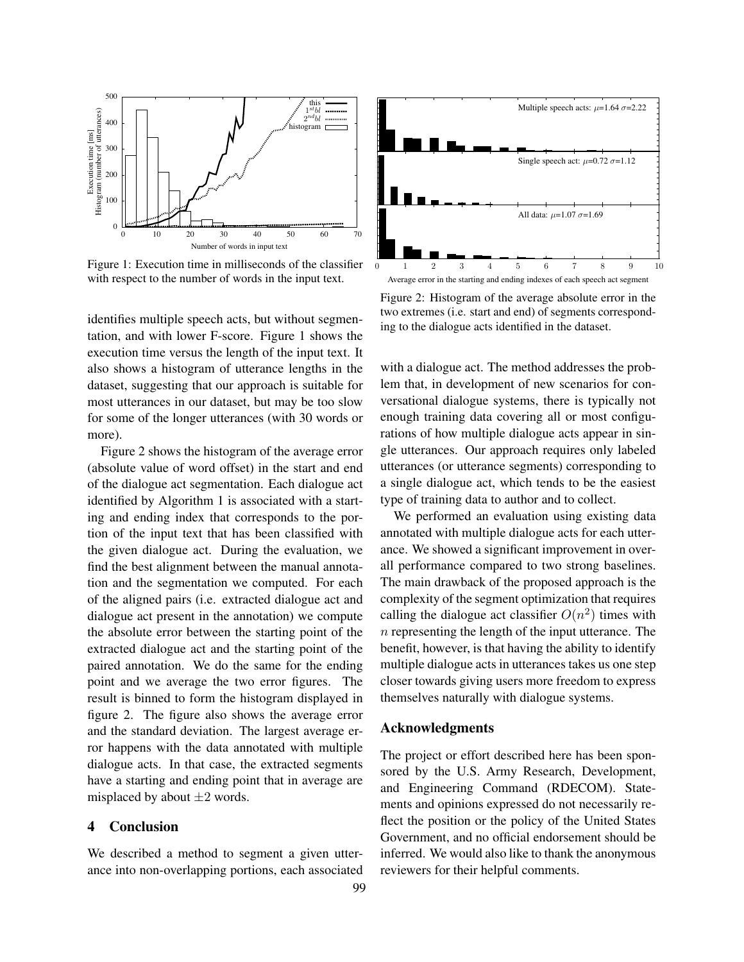

Figure 1: Execution time in milliseconds of the classifier with respect to the number of words in the input text.

identifies multiple speech acts, but without segmentation, and with lower F-score. Figure 1 shows the execution time versus the length of the input text. It also shows a histogram of utterance lengths in the dataset, suggesting that our approach is suitable for most utterances in our dataset, but may be too slow for some of the longer utterances (with 30 words or more).

Figure 2 shows the histogram of the average error (absolute value of word offset) in the start and end of the dialogue act segmentation. Each dialogue act identified by Algorithm 1 is associated with a starting and ending index that corresponds to the portion of the input text that has been classified with the given dialogue act. During the evaluation, we find the best alignment between the manual annotation and the segmentation we computed. For each of the aligned pairs (i.e. extracted dialogue act and dialogue act present in the annotation) we compute the absolute error between the starting point of the extracted dialogue act and the starting point of the paired annotation. We do the same for the ending point and we average the two error figures. The result is binned to form the histogram displayed in figure 2. The figure also shows the average error and the standard deviation. The largest average error happens with the data annotated with multiple dialogue acts. In that case, the extracted segments have a starting and ending point that in average are misplaced by about  $\pm 2$  words.

#### 4 Conclusion

We described a method to segment a given utterance into non-overlapping portions, each associated



Figure 2: Histogram of the average absolute error in the two extremes (i.e. start and end) of segments corresponding to the dialogue acts identified in the dataset.

with a dialogue act. The method addresses the problem that, in development of new scenarios for conversational dialogue systems, there is typically not enough training data covering all or most configurations of how multiple dialogue acts appear in single utterances. Our approach requires only labeled utterances (or utterance segments) corresponding to a single dialogue act, which tends to be the easiest type of training data to author and to collect.

We performed an evaluation using existing data annotated with multiple dialogue acts for each utterance. We showed a significant improvement in overall performance compared to two strong baselines. The main drawback of the proposed approach is the complexity of the segment optimization that requires calling the dialogue act classifier  $O(n^2)$  times with  $n$  representing the length of the input utterance. The benefit, however, is that having the ability to identify multiple dialogue acts in utterances takes us one step closer towards giving users more freedom to express themselves naturally with dialogue systems.

## Acknowledgments

The project or effort described here has been sponsored by the U.S. Army Research, Development, and Engineering Command (RDECOM). Statements and opinions expressed do not necessarily reflect the position or the policy of the United States Government, and no official endorsement should be inferred. We would also like to thank the anonymous reviewers for their helpful comments.